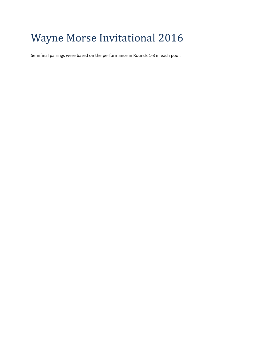# Wayne Morse Invitational 2016

Semifinal pairings were based on the performance in Rounds 1-3 in each pool.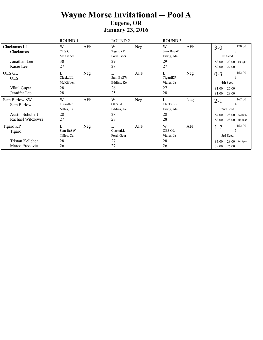### **Wayne Morse Invitational -- Pool A Eugene, OR January 23, 2016**

|                                                                            | ROUND 1                                        | ROUND <sub>2</sub>                             | <b>ROUND 3</b>                                      |                                                                                                |
|----------------------------------------------------------------------------|------------------------------------------------|------------------------------------------------|-----------------------------------------------------|------------------------------------------------------------------------------------------------|
| Clackamas LL<br>Clackamas                                                  | AFF<br>W<br><b>OES GL</b><br>McKibben,         | W<br>Neg<br>TigardKP<br>Ford, Geor             | W<br>AFF<br>Sam BaSW<br>Erwig, Ale                  | 170.00<br>$3-0$<br>3<br>1st Seed                                                               |
| Jonathan Lee<br>Kacie Lee                                                  | 30<br>27                                       | 29<br>28                                       | 29<br>27                                            | 29.00<br>88.00<br>1st Spkr<br>27.00<br>82.00                                                   |
| OES GL<br><b>OES</b><br>Vikul Gupta<br>Jennifer Lee                        | L<br>Neg<br>ClackaLL<br>McKibben,<br>28<br>28  | AFF<br>L<br>Sam BaSW<br>Eddins, Ke<br>26<br>25 | L<br>Neg<br>TigardKP<br>Viales, Ja<br>27<br>28      | 162.00<br>$0 - 3$<br>6<br>4th Seed<br>27.00<br>81.00<br>28.00<br>81.00                         |
| Sam Barlow SW<br>Sam Barlow<br><b>Austin Schubert</b><br>Rachael Wilczewsi | W<br>AFF<br>TigardKP<br>Nilles, Ca<br>28<br>27 | W<br>Neg<br>OES GL<br>Eddins, Ke<br>28<br>28   | L<br>Neg<br>ClackaLL<br>Erwig, Ale<br>28<br>28      | 167.00<br>$2 - 1$<br>4<br>2nd Seed<br>28.00<br>84.00<br>2nd Spkr<br>83.00<br>28.00<br>4th Spkr |
| Tigard KP<br>Tigard<br>Tristan Kelleher<br>Marco Predovic                  | L<br>Neg<br>Sam BaSW<br>Nilles, Ca<br>28<br>26 | AFF<br>L<br>ClackaLL<br>Ford, Geor<br>27<br>27 | W<br>AFF<br><b>OES GL</b><br>Viales, Ja<br>28<br>26 | 162.00<br>$1 - 2$<br>5<br>3rd Seed<br>$28.00$ 3rd Spkr<br>83.00<br>26.00<br>79.00              |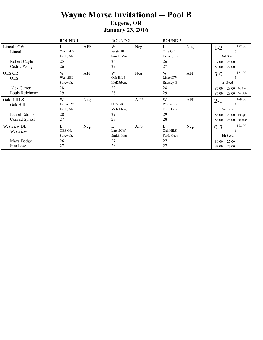### **Wayne Morse Invitational -- Pool B Eugene, OR January 23, 2016**

|                                                              | ROUND 1                                             | <b>ROUND 2</b>                                     | <b>ROUND 3</b>                                 |                                                                                                |
|--------------------------------------------------------------|-----------------------------------------------------|----------------------------------------------------|------------------------------------------------|------------------------------------------------------------------------------------------------|
| Lincoln CW<br>Lincoln                                        | AFF<br>L<br>Oak HiLS<br>Little, Ma                  | W<br>Neg<br>WestviBL<br>Smith, Mac                 | L<br>Neg<br><b>OES GR</b><br>Endsley, E        | 157.00<br>$1 - 2$<br>5<br>3rd Seed                                                             |
| Robert Cagle<br>Cedric Wong                                  | 25<br>26                                            | 26<br>27                                           | 26<br>27                                       | 26.00<br>77.00<br>27.00<br>80.00                                                               |
| <b>OES GR</b><br><b>OES</b><br>Alex Garten<br>Louis Reichman | W<br>AFF<br>WestviBL<br>Stirewalt,<br>28<br>29      | W<br>Neg<br>Oak HiLS<br>McKibben,<br>29<br>28      | W<br>AFF<br>LincolCW<br>Endsley, E<br>28<br>29 | 171.00<br>$3-0$<br>3<br>1st Seed<br>$28.00$ 3rd Spkr<br>85.00<br>86.00<br>29.00<br>2nd Spkr    |
| Oak Hill LS<br>Oak Hill<br>Laurel Eddins<br>Conrad Sproul    | W<br>Neg<br>LincolCW<br>Little, Ma<br>28<br>27      | L<br>AFF<br><b>OES GR</b><br>McKibben,<br>29<br>28 | W<br>AFF<br>WestviBL<br>Ford, Geor<br>29<br>28 | 169.00<br>$2 - 1$<br>4<br>2nd Seed<br>29.00<br>86.00<br>1st Spkr<br>28.00<br>83.00<br>4th Spkr |
| Westview BL<br>Westview<br>Maya Bedge<br>Sim Low             | L<br>Neg<br><b>OES GR</b><br>Stirewalt,<br>26<br>27 | L<br>AFF<br>LincolCW<br>Smith, Mac<br>27<br>28     | L<br>Neg<br>Oak HiLS<br>Ford, Geor<br>27<br>27 | 162.00<br>$0 - 3$<br>6<br>4th Seed<br>27.00<br>80.00<br>27.00<br>82.00                         |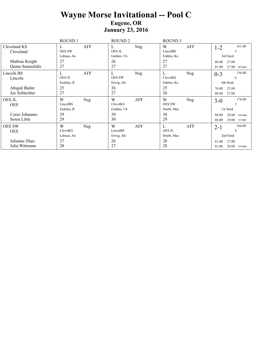### **Wayne Morse Invitational -- Pool C Eugene, OR January 23, 2016**

|                                                                | ROUND 1                                        | ROUND <sub>2</sub>                                  | ROUND <sub>3</sub>                                    |                                                                                              |
|----------------------------------------------------------------|------------------------------------------------|-----------------------------------------------------|-------------------------------------------------------|----------------------------------------------------------------------------------------------|
| Cleveland KS<br>Cleveland                                      | AFF<br>L<br><b>OES SW</b><br>Labuza, An        | Neg<br>L<br>OES JL<br>Geddes, Ch                    | W<br>AFF<br>LincolBS<br>Eddins, Ke                    | 161.00<br>$1 - 2$<br>5<br>3rd Seed                                                           |
| Mathias Knight<br>Quinn Samoulidis                             | 27<br>27                                       | 26<br>27                                            | 27<br>27                                              | 27.00<br>80.00<br>27.00<br>81.00<br>4th Spkr                                                 |
| Lincoln BS<br>Lincoln<br>Abigail Butler<br>Joe Schlechter      | AFF<br>L<br>OES JL<br>Endsley, R<br>25<br>27   | L<br>Neg<br><b>OES SW</b><br>Erwig, Ale<br>26<br>27 | L<br><b>Neg</b><br>ClevelKS<br>Eddins, Ke<br>25<br>26 | 156.00<br>$0 - 3$<br>6<br>4th Seed<br>25.00<br>76.00<br>27.00<br>80.00                       |
| <b>OES JL</b><br><b>OES</b><br>Cyrus Johannes<br>Soren Little  | W<br>Neg<br>LincolBS<br>Endsley, R<br>29<br>29 | W<br>AFF<br>ClevelKS<br>Geddes, Ch<br>29<br>30      | W<br>Neg<br><b>OES SW</b><br>Smith, Mac<br>30<br>29   | 176.00<br>$3-0$<br>3<br>1st Seed<br>88.00<br>29.00<br>2nd Spkr<br>88.00<br>29.00<br>1st Spkr |
| <b>OES SW</b><br><b>OES</b><br>Julianne Zhao<br>Julia Witteman | W<br>Neg<br>ClevelKS<br>Labuza, An<br>27<br>28 | W<br>AFF<br>LincolBS<br>Erwig, Ale<br>26<br>27      | L<br>AFF<br><b>OES JL</b><br>Smith, Mac<br>28<br>28   | 164.00<br>$2 - 1$<br>4<br>2nd Seed<br>27.00<br>81.00<br>$28.00$ 3rd Spkr<br>83.00            |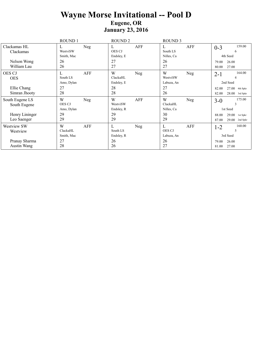### **Wayne Morse Invitational -- Pool D Eugene, OR January 23, 2016**

|                                                                  | ROUND 1                                             | ROUND <sub>2</sub>                             | ROUND 3                                                        |                                                                                                |
|------------------------------------------------------------------|-----------------------------------------------------|------------------------------------------------|----------------------------------------------------------------|------------------------------------------------------------------------------------------------|
| Clackamas HL<br>Clackamas                                        | Neg<br>L<br>WestviSW<br>Smith, Mac                  | AFF<br>L<br><b>OES CJ</b><br>Endsley, E        | AFF<br>L<br>South LS<br>Nilles, Ca                             | 159.00<br>$0 - 3$<br>6<br>4th Seed                                                             |
| Nelson Wong<br>William Lau                                       | 26<br>26                                            | 27<br>27                                       | 26<br>27                                                       | 26.00<br>79.00<br>27.00<br>80.00                                                               |
| <b>OES CJ</b><br><b>OES</b><br>Ellie Chang<br>Simran Jhooty      | L<br>AFF<br>South LS<br>Amo, Dylan<br>27<br>28      | W<br>Neg<br>ClackaHL<br>Endsley, E<br>28<br>28 | W<br>Neg<br>WestviSW<br>Labuza, An<br>27<br>26                 | 164.00<br>$2 - 1$<br>4<br>2nd Seed<br>27.00<br>82.00<br>4th Spkr<br>28.00<br>82.00<br>3rd Spkr |
| South Eugene LS<br>South Eugene<br>Henry Lininger<br>Leo Saenger | W<br>Neg<br><b>OES CJ</b><br>Amo, Dylan<br>29<br>29 | W<br>AFF<br>WestviSW<br>Endsley, R<br>29<br>29 | W<br>Neg<br>ClackaHL<br>Nilles, Ca<br>30<br>29                 | 175.00<br>$3-0$<br>3<br>1st Seed<br>29.00<br>88.00<br>1st Spkr<br>87.00<br>29.00<br>2nd Spkr   |
| Westview SW<br>Westview<br>Pranay Sharma<br>Austin Wang          | W<br>AFF<br>ClackaHL<br>Smith, Mac<br>27<br>28      | L<br>Neg<br>South LS<br>Endsley, R<br>26<br>26 | $\mathbf{L}$<br>AFF<br><b>OES CJ</b><br>Labuza, An<br>26<br>27 | 160.00<br>$1 - 2$<br>5<br>3rd Seed<br>26.00<br>79.00<br>27.00<br>81.00                         |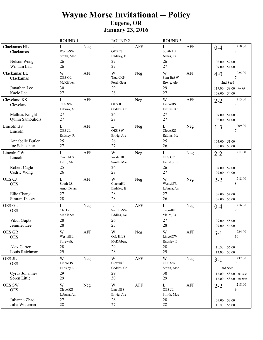## **Wayne Morse Invitational -- Policy Eugene, OR January 23, 2016**

|                                                                 | <b>ROUND1</b>                                                        | <b>ROUND 2</b>                                        | <b>ROUND 3</b>                                                   |                                                                                      |
|-----------------------------------------------------------------|----------------------------------------------------------------------|-------------------------------------------------------|------------------------------------------------------------------|--------------------------------------------------------------------------------------|
| Clackamas HL<br>Clackamas<br>Nelson Wong<br>William Lau         | L<br>Neg<br>WestviSW<br>Smith, Mac<br>26<br>26                       | L<br><b>AFF</b><br>OES CJ<br>Endsley, E<br>27<br>27   | $\mathbf{L}$<br><b>AFF</b><br>South LS<br>Nilles, Ca<br>26<br>27 | 210.00<br>$0 - 4$<br>8<br>103.00<br>52.00<br>54.00<br>107.00                         |
| Clackamas LL<br>Clackamas<br>Jonathan Lee                       | W<br><b>AFF</b><br>OES GL<br>McKibben,<br>30                         | W<br>Neg<br>TigardKP<br>Ford, Geor<br>29              | W<br><b>AFF</b><br>Sam BaSW<br>Erwig, Ale<br>29                  | 225.00<br>$4 - 0$<br>$\tau$<br>2nd Seed<br>58.00 1st Spkr<br>117.00                  |
| Kacie Lee                                                       | 27                                                                   | 28                                                    | 27                                                               | 54.00<br>108.00                                                                      |
| Cleveland KS<br>Cleveland<br>Mathias Knight<br>Quinn Samoulidis | $\mathbf L$<br><b>AFF</b><br><b>OES SW</b><br>Labuza, An<br>27<br>27 | L<br>Neg<br>OES JL<br>Geddes, Ch<br>26<br>27          | W<br><b>AFF</b><br>LincolBS<br>Eddins, Ke<br>27<br>27            | 215.00<br>$2 - 2$<br>$\tau$<br>107.00 54.00                                          |
|                                                                 |                                                                      |                                                       |                                                                  | 108.00 54.00<br>209.00                                                               |
| Lincoln BS<br>Lincoln<br>Annabelle Butler<br>Joe Schlechter     | L<br><b>AFF</b><br>OES JL<br>Endsley, R<br>25<br>27                  | L<br>Neg<br><b>OES SW</b><br>Erwig, Ale<br>26<br>27   | $\mathbf{L}$<br>Neg<br>ClevelKS<br>Eddins, Ke<br>25<br>26        | $1 - 3$<br>7<br>103.00 51.00<br>106.00 53.00                                         |
| Lincoln CW<br>Lincoln                                           | L<br><b>AFF</b><br>Oak HiLS<br>Little, Ma                            | W<br>Neg<br>WestviBL<br>Smith, Mac                    | $\mathbf{L}$<br>Neg<br><b>OES GR</b><br>Endsley, E               | 211.00<br>$2 - 2$<br>8                                                               |
| Robert Cagle<br>Cedric Wong                                     | 25<br>26                                                             | 26<br>27                                              | 26<br>27                                                         | 104.00<br>52.00<br>107.00 54.00                                                      |
| OES CJ<br><b>OES</b><br>Ellie Chang<br>Simran Jhooty            | $\mathbf{L}$<br>AFF<br>South LS<br>Amo, Dylan<br>27<br>28            | W<br>Neg<br>ClackaHL<br>Endsley, E<br>28<br>28        | W<br>Neg<br>WestviSW<br>Labuza, An<br>27<br>26                   | 218.00<br>$2 - 2$<br>8<br>109.00 54.00<br>109.00 55.00                               |
| OES GL<br><b>OES</b><br>Vikul Gupta<br>Jennifer Lee             | L<br>Neg<br>ClackaLL<br>McKibben,<br>28<br>28                        | L<br><b>AFF</b><br>Sam BaSW<br>Eddins, Ke<br>26<br>25 | $\mathbf{L}$<br>Neg<br>TigardKP<br>Viales, Ja<br>27<br>28        | 216.00<br>$0 - 4$<br>9<br>55.00<br>109.00<br>107.00 54.00                            |
| OES GR<br><b>OES</b><br>Alex Garten                             | $\ensuremath{\text{W}}$<br>AFF<br>WestviBL<br>Stirewalt,<br>28       | $\mathbf W$<br>Neg<br>Oak HiLS<br>McKibben,<br>29     | $\ensuremath{\text{W}}$<br>AFF<br>LincolCW<br>Endsley, E<br>28   | 224.00<br>$3-1$<br>10<br>111.00 56.00                                                |
| Louis Reichman                                                  | 29                                                                   | 28                                                    | 29                                                               | 113.00 57.00                                                                         |
| OES JL<br><b>OES</b><br>Cyrus Johannes<br>Soren Little          | W<br>Neg<br>LincolBS<br>Endsley, R<br>29<br>29                       | W<br>AFF<br>ClevelKS<br>Geddes, Ch<br>29<br>30        | W<br>Neg<br>OES SW<br>Smith, Mac<br>30<br>29                     | 232.00<br>$3 - 1$<br>9<br>3rd Seed<br>116.00 58.00 4th Spkr<br>116.00 58.00 3rd Spkr |
| <b>OES SW</b><br><b>OES</b>                                     | W<br>Neg<br>ClevelKS<br>Labuza, An                                   | W<br>AFF<br>LincolBS<br>Erwig, Ale                    | $\mathbf{L}$<br>AFF<br>OES JL<br>Smith, Mac                      | 218.00<br>$2 - 2$<br>9                                                               |
| Julianne Zhao<br>Julia Witteman                                 | 27<br>28                                                             | 26<br>27                                              | 28<br>28                                                         | 107.00 53.00<br>111.00 56.00                                                         |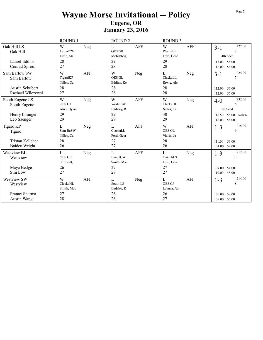## **Wayne Morse Invitational -- Policy Eugene, OR January 23, 2016**

|                                                       | ROUND 1                           |            | <b>ROUND 2</b>                  |            | <b>ROUND 3</b>                    |            |                        |                            |
|-------------------------------------------------------|-----------------------------------|------------|---------------------------------|------------|-----------------------------------|------------|------------------------|----------------------------|
| Oak Hill LS<br>Oak Hill                               | W<br>LincolCW<br>Little, Ma       | Neg        | L<br><b>OES GR</b><br>McKibben, | <b>AFF</b> | W<br>WestviBL<br>Ford, Geor       | <b>AFF</b> | $3-1$                  | 227.00<br>8<br>4th Seed    |
| Laurel Eddins<br>Conrad Sproul                        | 28<br>27                          |            | 29<br>28                        |            | 29<br>28                          |            | 115.00<br>112.00       | 58.00<br>56.00             |
| Sam Barlow SW<br>Sam Barlow<br><b>Austin Schubert</b> | W<br>TigardKP<br>Nilles, Ca<br>28 | <b>AFF</b> | W<br>OES GL<br>Eddins, Ke<br>28 | Neg        | L<br>ClackaLL<br>Erwig, Ale<br>28 | Neg        | $3-1$<br>112.00        | 224.00<br>$\tau$<br>56.00  |
| Rachael Wilczewsi                                     | 27                                |            | 28                              |            | 28                                |            | 112.00                 | 56.00                      |
| South Eugene LS<br>South Eugene                       | W<br><b>OES CJ</b><br>Amo, Dylan  | Neg        | W<br>WestviSW<br>Endsley, R     | <b>AFF</b> | W<br>ClackaHL<br>Nilles, Ca       | Neg        | $4 - 0$                | 232.50<br>6<br>1st Seed    |
| Henry Lininger<br>Leo Saenger                         | 29<br>29                          |            | 29<br>29                        |            | 30<br>29                          |            | 116.50<br>116.00       | 58.00<br>2nd Spkr<br>58.00 |
| <b>Tigard KP</b><br>Tigard                            | L<br>Sam BaSW<br>Nilles, Ca       | Neg        | L<br>ClackaLL<br>Ford, Geor     | <b>AFF</b> | W<br><b>OES GL</b><br>Viales, Ja  | AFF        | $1 - 3$                | 215.00<br>9                |
| Tristan Kelleher<br>Baiden Wright                     | 28<br>26                          |            | 27<br>27                        |            | 28<br>26                          |            | 111.00<br>104.00       | 56.00<br>52.00             |
| Westview BL<br>Westview                               | L<br><b>OES GR</b><br>Stirewalt,  | Neg        | L<br>LincolCW<br>Smith, Mac     | <b>AFF</b> | L<br>Oak HiLS<br>Ford, Geor       | Neg        | $1-3$                  | 217.00<br>$\,8\,$          |
| Maya Bedge<br>Sim Low                                 | 26<br>27                          |            | 27<br>28                        |            | 27<br>27                          |            | 107.00<br>110.00 55.00 | 54.00                      |
| <b>Westview SW</b><br>Westview                        | W<br>ClackaHL<br>Smith, Mac       | <b>AFF</b> | L<br>South LS<br>Endsley, R     | Neg        | L<br><b>OES CJ</b><br>Labuza, An  | <b>AFF</b> | $1 - 3$                | 214.00<br>8                |
| Pranay Sharma<br>Austin Wang                          | 27<br>28                          |            | 26<br>26                        |            | 26<br>27                          |            | 105.00<br>109.00 55.00 | 52.00                      |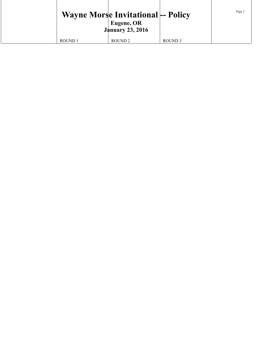|         | <b>Wayne Morse Invitational-- Policy</b><br><b>Eugene, OR</b><br><b>January 23, 2016</b> |                    | Page 3 |
|---------|------------------------------------------------------------------------------------------|--------------------|--------|
| ROUND 1 | ROUND <sub>2</sub>                                                                       | ROUND <sub>3</sub> |        |